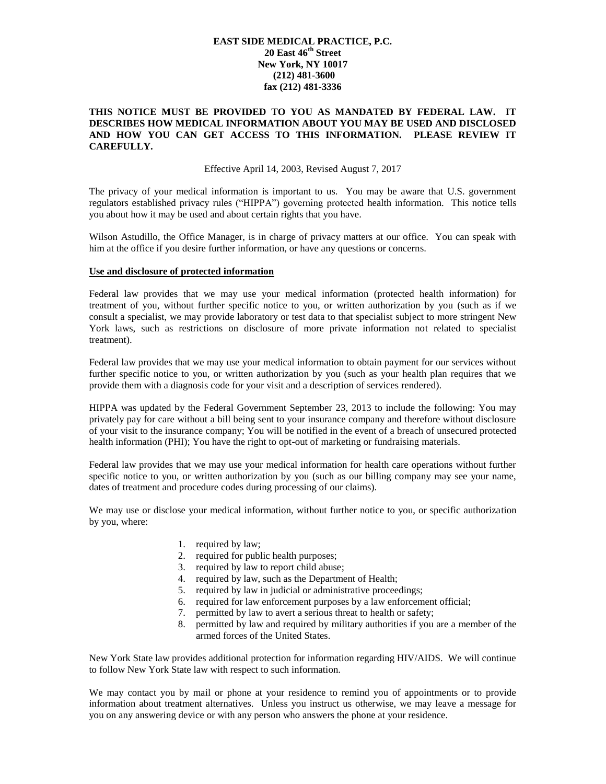# **EAST SIDE MEDICAL PRACTICE, P.C. 20 East 46th Street New York, NY 10017 (212) 481-3600 fax (212) 481-3336**

## **THIS NOTICE MUST BE PROVIDED TO YOU AS MANDATED BY FEDERAL LAW. IT DESCRIBES HOW MEDICAL INFORMATION ABOUT YOU MAY BE USED AND DISCLOSED AND HOW YOU CAN GET ACCESS TO THIS INFORMATION. PLEASE REVIEW IT CAREFULLY.**

### Effective April 14, 2003, Revised August 7, 2017

The privacy of your medical information is important to us. You may be aware that U.S. government regulators established privacy rules ("HIPPA") governing protected health information. This notice tells you about how it may be used and about certain rights that you have.

Wilson Astudillo, the Office Manager, is in charge of privacy matters at our office. You can speak with him at the office if you desire further information, or have any questions or concerns.

#### **Use and disclosure of protected information**

Federal law provides that we may use your medical information (protected health information) for treatment of you, without further specific notice to you, or written authorization by you (such as if we consult a specialist, we may provide laboratory or test data to that specialist subject to more stringent New York laws, such as restrictions on disclosure of more private information not related to specialist treatment).

Federal law provides that we may use your medical information to obtain payment for our services without further specific notice to you, or written authorization by you (such as your health plan requires that we provide them with a diagnosis code for your visit and a description of services rendered).

HIPPA was updated by the Federal Government September 23, 2013 to include the following: You may privately pay for care without a bill being sent to your insurance company and therefore without disclosure of your visit to the insurance company; You will be notified in the event of a breach of unsecured protected health information (PHI); You have the right to opt-out of marketing or fundraising materials.

Federal law provides that we may use your medical information for health care operations without further specific notice to you, or written authorization by you (such as our billing company may see your name, dates of treatment and procedure codes during processing of our claims).

We may use or disclose your medical information, without further notice to you, or specific authorization by you, where:

- 1. required by law;
- 2. required for public health purposes;
- 3. required by law to report child abuse;
- 4. required by law, such as the Department of Health;
- 5. required by law in judicial or administrative proceedings;
- 6. required for law enforcement purposes by a law enforcement official;
- 7. permitted by law to avert a serious threat to health or safety;
- 8. permitted by law and required by military authorities if you are a member of the armed forces of the United States.

New York State law provides additional protection for information regarding HIV/AIDS. We will continue to follow New York State law with respect to such information.

We may contact you by mail or phone at your residence to remind you of appointments or to provide information about treatment alternatives. Unless you instruct us otherwise, we may leave a message for you on any answering device or with any person who answers the phone at your residence.